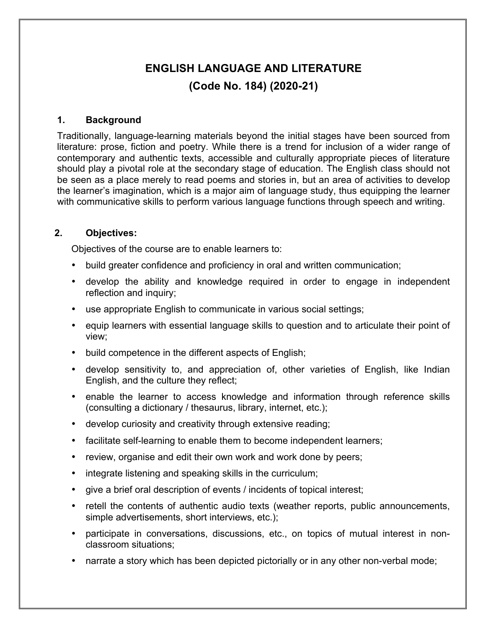# **ENGLISH LANGUAGE AND LITERATURE (Code No. 184) (2020-21)**

#### **1. Background**

Traditionally, language-learning materials beyond the initial stages have been sourced from literature: prose, fiction and poetry. While there is a trend for inclusion of a wider range of contemporary and authentic texts, accessible and culturally appropriate pieces of literature should play a pivotal role at the secondary stage of education. The English class should not be seen as a place merely to read poems and stories in, but an area of activities to develop the learner's imagination, which is a major aim of language study, thus equipping the learner with communicative skills to perform various language functions through speech and writing.

#### **2. Objectives:**

Objectives of the course are to enable learners to:

- build greater confidence and proficiency in oral and written communication;
- develop the ability and knowledge required in order to engage in independent reflection and inquiry;
- use appropriate English to communicate in various social settings;
- equip learners with essential language skills to question and to articulate their point of view;
- build competence in the different aspects of English;
- develop sensitivity to, and appreciation of, other varieties of English, like Indian English, and the culture they reflect;
- enable the learner to access knowledge and information through reference skills (consulting a dictionary / thesaurus, library, internet, etc.);
- develop curiosity and creativity through extensive reading;
- facilitate self-learning to enable them to become independent learners;
- review, organise and edit their own work and work done by peers;
- integrate listening and speaking skills in the curriculum;
- give a brief oral description of events / incidents of topical interest;
- retell the contents of authentic audio texts (weather reports, public announcements, simple advertisements, short interviews, etc.);
- participate in conversations, discussions, etc., on topics of mutual interest in nonclassroom situations;
- narrate a story which has been depicted pictorially or in any other non-verbal mode;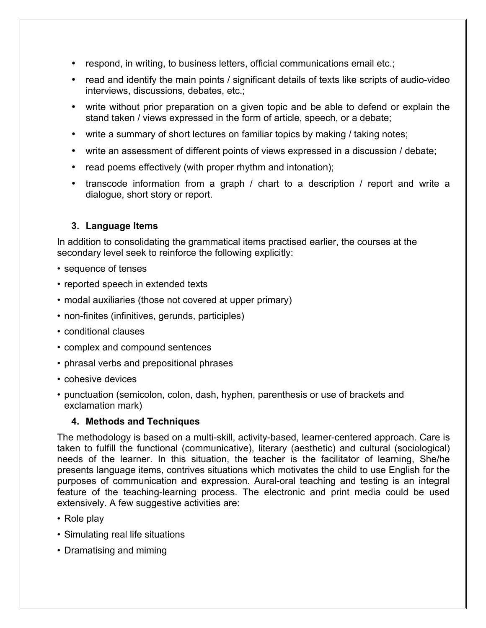- respond, in writing, to business letters, official communications email etc.;
- read and identify the main points / significant details of texts like scripts of audio-video interviews, discussions, debates, etc.;
- write without prior preparation on a given topic and be able to defend or explain the stand taken / views expressed in the form of article, speech, or a debate;
- write a summary of short lectures on familiar topics by making / taking notes;
- write an assessment of different points of views expressed in a discussion / debate;
- read poems effectively (with proper rhythm and intonation);
- transcode information from a graph / chart to a description / report and write a dialogue, short story or report.

#### **3. Language Items**

In addition to consolidating the grammatical items practised earlier, the courses at the secondary level seek to reinforce the following explicitly:

- sequence of tenses
- reported speech in extended texts
- modal auxiliaries (those not covered at upper primary)
- non-finites (infinitives, gerunds, participles)
- conditional clauses
- complex and compound sentences
- phrasal verbs and prepositional phrases
- cohesive devices
- punctuation (semicolon, colon, dash, hyphen, parenthesis or use of brackets and exclamation mark)

#### **4. Methods and Techniques**

The methodology is based on a multi-skill, activity-based, learner-centered approach. Care is taken to fulfill the functional (communicative), literary (aesthetic) and cultural (sociological) needs of the learner. In this situation, the teacher is the facilitator of learning, She/he presents language items, contrives situations which motivates the child to use English for the purposes of communication and expression. Aural-oral teaching and testing is an integral feature of the teaching-learning process. The electronic and print media could be used extensively. A few suggestive activities are:

- Role play
- Simulating real life situations
- Dramatising and miming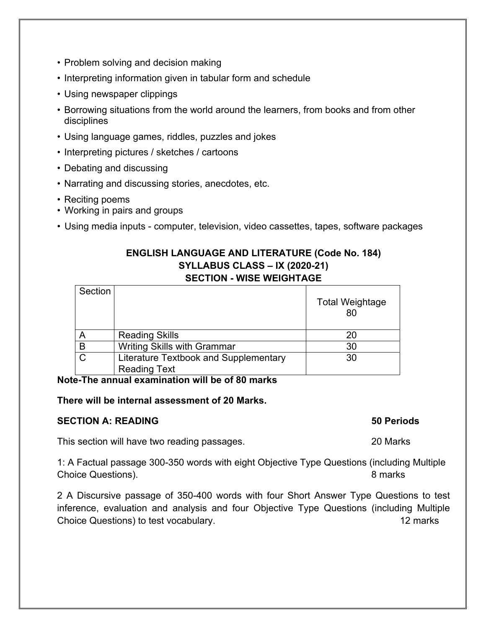- Problem solving and decision making
- Interpreting information given in tabular form and schedule
- Using newspaper clippings
- Borrowing situations from the world around the learners, from books and from other disciplines
- Using language games, riddles, puzzles and jokes
- Interpreting pictures / sketches / cartoons
- Debating and discussing
- Narrating and discussing stories, anecdotes, etc.
- Reciting poems
- Working in pairs and groups
- Using media inputs computer, television, video cassettes, tapes, software packages

#### **ENGLISH LANGUAGE AND LITERATURE (Code No. 184) SYLLABUS CLASS – IX (2020-21) SECTION - WISE WEIGHTAGE**

| Section |                                       | <b>Total Weightage</b><br>80 |
|---------|---------------------------------------|------------------------------|
|         | <b>Reading Skills</b>                 |                              |
| B       | Writing Skills with Grammar           | 30                           |
|         | Literature Textbook and Supplementary | 30                           |
|         | <b>Reading Text</b>                   |                              |

#### **Note-The annual examination will be of 80 marks**

#### **There will be internal assessment of 20 Marks.**

#### **SECTION A: READING 50 Periods**

This section will have two reading passages. 20 Marks

1: A Factual passage 300-350 words with eight Objective Type Questions (including Multiple Choice Questions). 8 marks

2 A Discursive passage of 350-400 words with four Short Answer Type Questions to test inference, evaluation and analysis and four Objective Type Questions (including Multiple Choice Questions) to test vocabulary. The contract of the contract of the contract of the contract of the contract of the contract of the contract of the contract of the contract of the contract of the contract of the cont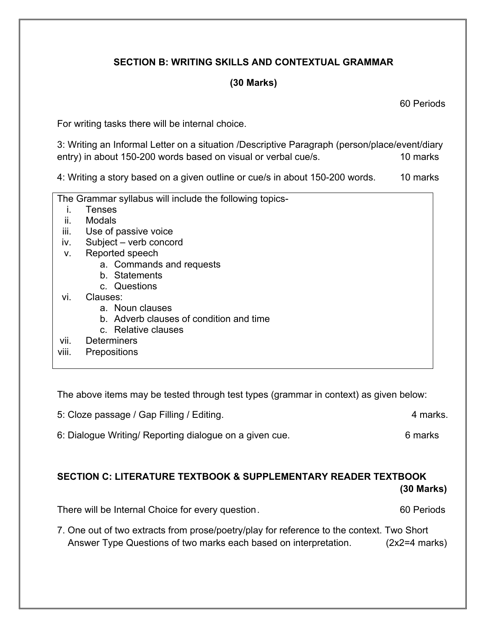## **SECTION B: WRITING SKILLS AND CONTEXTUAL GRAMMAR**

### **(30 Marks)**

60 Periods

For writing tasks there will be internal choice.

3: Writing an Informal Letter on a situation /Descriptive Paragraph (person/place/event/diary entry) in about 150-200 words based on visual or verbal cue/s. 10 marks

4: Writing a story based on a given outline or cue/s in about 150-200 words. 10 marks

|       | The Grammar syllabus will include the following topics- |  |  |
|-------|---------------------------------------------------------|--|--|
|       | Tenses                                                  |  |  |
| ii.   | <b>Modals</b>                                           |  |  |
| iii.  | Use of passive voice                                    |  |  |
| iv.   | Subject - verb concord                                  |  |  |
| ν.    | Reported speech                                         |  |  |
|       | a. Commands and requests                                |  |  |
|       | b. Statements                                           |  |  |
|       | c. Questions                                            |  |  |
| vi.   | Clauses:                                                |  |  |
|       | a. Noun clauses                                         |  |  |
|       | b. Adverb clauses of condition and time                 |  |  |
|       | c. Relative clauses                                     |  |  |
| vii.  | <b>Determiners</b>                                      |  |  |
| viii. | <b>Prepositions</b>                                     |  |  |
|       |                                                         |  |  |

The above items may be tested through test types (grammar in context) as given below:

| 5: Cloze passage / Gap Filling / Editing. | 4 marks. |
|-------------------------------------------|----------|
|-------------------------------------------|----------|

6: Dialogue Writing/ Reporting dialogue on a given cue. 6 marks

#### **SECTION C: LITERATURE TEXTBOOK & SUPPLEMENTARY READER TEXTBOOK (30 Marks)**

There will be Internal Choice for every question. There will be Internal Choice for every question.

7. One out of two extracts from prose/poetry/play for reference to the context. Two Short Answer Type Questions of two marks each based on interpretation. (2x2=4 marks)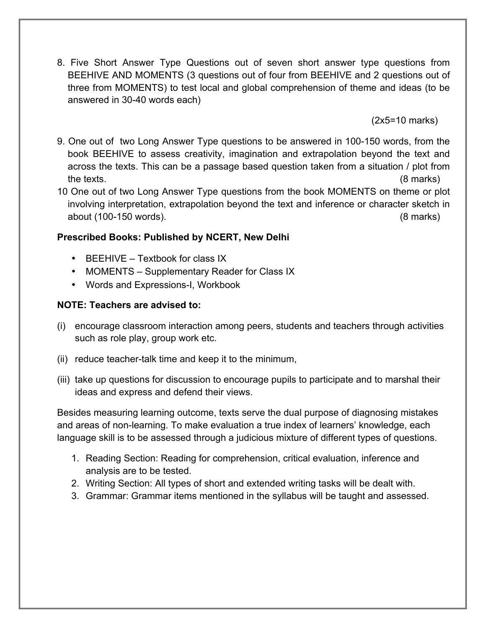8. Five Short Answer Type Questions out of seven short answer type questions from BEEHIVE AND MOMENTS (3 questions out of four from BEEHIVE and 2 questions out of three from MOMENTS) to test local and global comprehension of theme and ideas (to be answered in 30-40 words each)

(2x5=10 marks)

- 9. One out of two Long Answer Type questions to be answered in 100-150 words, from the book BEEHIVE to assess creativity, imagination and extrapolation beyond the text and across the texts. This can be a passage based question taken from a situation / plot from the texts. (8 marks)
- 10 One out of two Long Answer Type questions from the book MOMENTS on theme or plot involving interpretation, extrapolation beyond the text and inference or character sketch in about (100-150 words). (8 marks)

## **Prescribed Books: Published by NCERT, New Delhi**

- BEEHIVE Textbook for class IX
- MOMENTS Supplementary Reader for Class IX
- Words and Expressions-I, Workbook

## **NOTE: Teachers are advised to:**

- (i) encourage classroom interaction among peers, students and teachers through activities such as role play, group work etc.
- (ii) reduce teacher-talk time and keep it to the minimum,
- (iii) take up questions for discussion to encourage pupils to participate and to marshal their ideas and express and defend their views.

Besides measuring learning outcome, texts serve the dual purpose of diagnosing mistakes and areas of non-learning. To make evaluation a true index of learners' knowledge, each language skill is to be assessed through a judicious mixture of different types of questions.

- 1. Reading Section: Reading for comprehension, critical evaluation, inference and analysis are to be tested.
- 2. Writing Section: All types of short and extended writing tasks will be dealt with.
- 3. Grammar: Grammar items mentioned in the syllabus will be taught and assessed.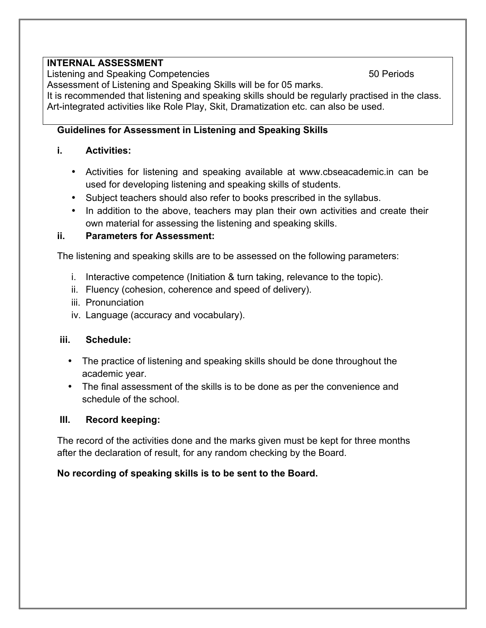## **INTERNAL ASSESSMENT**

Listening and Speaking Competencies 60 Periods 50 Periods

Assessment of Listening and Speaking Skills will be for 05 marks.

It is recommended that listening and speaking skills should be regularly practised in the class. Art-integrated activities like Role Play, Skit, Dramatization etc. can also be used.

## **Guidelines for Assessment in Listening and Speaking Skills**

## **i. Activities:**

- Activities for listening and speaking available at www.cbseacademic.in can be used for developing listening and speaking skills of students.
- Subject teachers should also refer to books prescribed in the syllabus.
- In addition to the above, teachers may plan their own activities and create their own material for assessing the listening and speaking skills.

## **ii. Parameters for Assessment:**

The listening and speaking skills are to be assessed on the following parameters:

- i. Interactive competence (Initiation & turn taking, relevance to the topic).
- ii. Fluency (cohesion, coherence and speed of delivery).
- iii. Pronunciation
- iv. Language (accuracy and vocabulary).

## **iii. Schedule:**

- The practice of listening and speaking skills should be done throughout the academic year.
- The final assessment of the skills is to be done as per the convenience and schedule of the school.

## **III. Record keeping:**

The record of the activities done and the marks given must be kept for three months after the declaration of result, for any random checking by the Board.

## **No recording of speaking skills is to be sent to the Board.**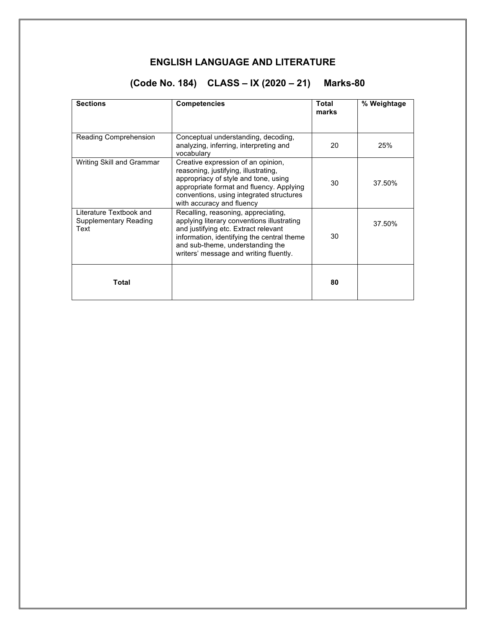## **ENGLISH LANGUAGE AND LITERATURE**

## **(Code No. 184) CLASS – IX (2020 – 21) Marks-80**

| <b>Sections</b>                                          | <b>Competencies</b>                                                                                                                                                                                                                                   | Total<br>marks | % Weightage |
|----------------------------------------------------------|-------------------------------------------------------------------------------------------------------------------------------------------------------------------------------------------------------------------------------------------------------|----------------|-------------|
| Reading Comprehension                                    | Conceptual understanding, decoding,<br>analyzing, inferring, interpreting and<br>vocabulary                                                                                                                                                           | 20             | 25%         |
| Writing Skill and Grammar                                | Creative expression of an opinion,<br>reasoning, justifying, illustrating,<br>appropriacy of style and tone, using<br>appropriate format and fluency. Applying<br>conventions, using integrated structures<br>with accuracy and fluency               | 30             | 37.50%      |
| Literature Textbook and<br>Supplementary Reading<br>Text | Recalling, reasoning, appreciating,<br>applying literary conventions illustrating<br>and justifying etc. Extract relevant<br>information, identifying the central theme<br>and sub-theme, understanding the<br>writers' message and writing fluently. | 30             | 37.50%      |
| Total                                                    |                                                                                                                                                                                                                                                       | 80             |             |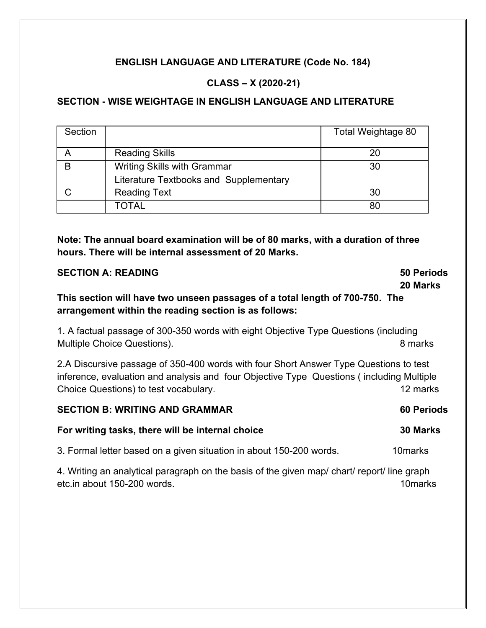## **ENGLISH LANGUAGE AND LITERATURE (Code No. 184)**

## **CLASS – X (2020-21)**

## **SECTION - WISE WEIGHTAGE IN ENGLISH LANGUAGE AND LITERATURE**

| Section |                                          | Total Weightage 80 |
|---------|------------------------------------------|--------------------|
|         | <b>Reading Skills</b>                    | 20                 |
| B       | <b>Writing Skills with Grammar</b><br>30 |                    |
|         | Literature Textbooks and Supplementary   |                    |
|         | <b>Reading Text</b>                      | 30                 |
|         | TOTAL                                    | 80                 |

**Note: The annual board examination will be of 80 marks, with a duration of three hours. There will be internal assessment of 20 Marks.**

| <b>SECTION A: READING</b>                                                                                                             | <b>50 Periods</b> |
|---------------------------------------------------------------------------------------------------------------------------------------|-------------------|
|                                                                                                                                       | 20 Marks          |
| This section will have two unseen passages of a total length of 700-750. The<br>arrangement within the reading section is as follows: |                   |
| 1. A factual passage of 300-350 words with eight Objective Type Questions (including                                                  |                   |
| Multiple Choice Questions).                                                                                                           | 8 marks           |
| 2.A Discursive passage of 350-400 words with four Short Answer Type Questions to test                                                 |                   |
| inference, evaluation and analysis and four Objective Type Questions (including Multiple                                              |                   |
| Choice Questions) to test vocabulary.                                                                                                 | 12 marks          |
| <b>SECTION B: WRITING AND GRAMMAR</b>                                                                                                 | <b>60 Periods</b> |
| For writing tasks, there will be internal choice                                                                                      | 30 Marks          |
| 3. Formal letter based on a given situation in about 150-200 words.                                                                   | 10marks           |

4. Writing an analytical paragraph on the basis of the given map/ chart/ report/ line graph etc.in about 150-200 words. 10marks 10marks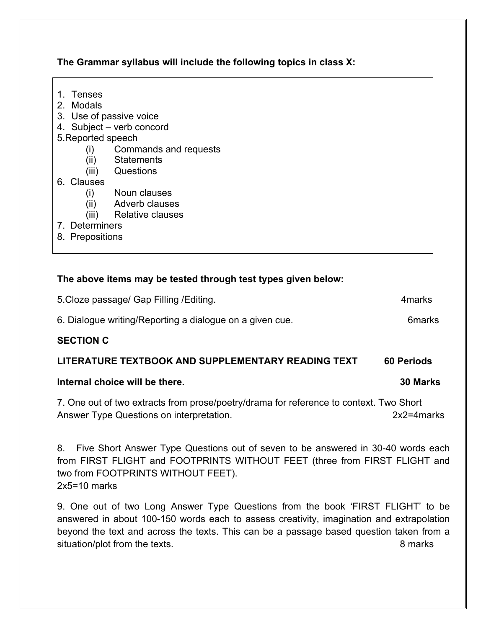**The Grammar syllabus will include the following topics in class X:**

- 1. Tenses
- 2. Modals
- 3. Use of passive voice
- 4. Subject verb concord
- 5.Reported speech
	- (i) Commands and requests
	- (ii) Statements
	- (iii) Questions
- 6. Clauses
	- (i) Noun clauses
	- (ii) Adverb clauses
	- (iii) Relative clauses
- 7. Determiners
- 8. Prepositions

## **The above items may be tested through test types given below:**

| 5. Cloze passage/ Gap Filling / Editing.                 | 4marks |
|----------------------------------------------------------|--------|
| 6. Dialogue writing/Reporting a dialogue on a given cue. | 6marks |

## **SECTION C**

## **LITERATURE TEXTBOOK AND SUPPLEMENTARY READING TEXT 60 Periods**

## **Internal choice will be there. 30 Marks**

7. One out of two extracts from prose/poetry/drama for reference to context. Two Short Answer Type Questions on interpretation. 2x2=4marks

8. Five Short Answer Type Questions out of seven to be answered in 30-40 words each from FIRST FLIGHT and FOOTPRINTS WITHOUT FEET (three from FIRST FLIGHT and two from FOOTPRINTS WITHOUT FEET). 2x5=10 marks

9. One out of two Long Answer Type Questions from the book 'FIRST FLIGHT' to be answered in about 100-150 words each to assess creativity, imagination and extrapolation beyond the text and across the texts. This can be a passage based question taken from a situation/plot from the texts. 8 marks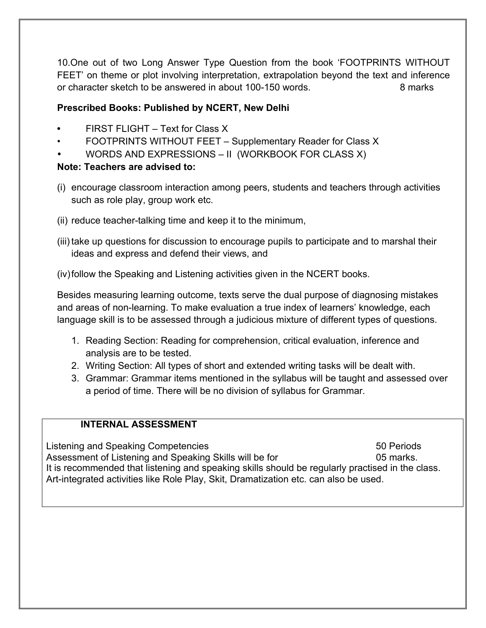10.One out of two Long Answer Type Question from the book 'FOOTPRINTS WITHOUT FEET' on theme or plot involving interpretation, extrapolation beyond the text and inference or character sketch to be answered in about 100-150 words. **8 marks** 8 marks

## **Prescribed Books: Published by NCERT, New Delhi**

- **•** FIRST FLIGHT Text for Class X
- FOOTPRINTS WITHOUT FEET Supplementary Reader for Class X
- WORDS AND EXPRESSIONS II (WORKBOOK FOR CLASS X)

## **Note: Teachers are advised to:**

- (i) encourage classroom interaction among peers, students and teachers through activities such as role play, group work etc.
- (ii) reduce teacher-talking time and keep it to the minimum,
- (iii) take up questions for discussion to encourage pupils to participate and to marshal their ideas and express and defend their views, and

(iv)follow the Speaking and Listening activities given in the NCERT books.

Besides measuring learning outcome, texts serve the dual purpose of diagnosing mistakes and areas of non-learning. To make evaluation a true index of learners' knowledge, each language skill is to be assessed through a judicious mixture of different types of questions.

- 1. Reading Section: Reading for comprehension, critical evaluation, inference and analysis are to be tested.
- 2. Writing Section: All types of short and extended writing tasks will be dealt with.
- 3. Grammar: Grammar items mentioned in the syllabus will be taught and assessed over a period of time. There will be no division of syllabus for Grammar.

## **INTERNAL ASSESSMENT**

Listening and Speaking Competencies 50 Periods Assessment of Listening and Speaking Skills will be for **1988** 05 marks. It is recommended that listening and speaking skills should be regularly practised in the class. Art-integrated activities like Role Play, Skit, Dramatization etc. can also be used.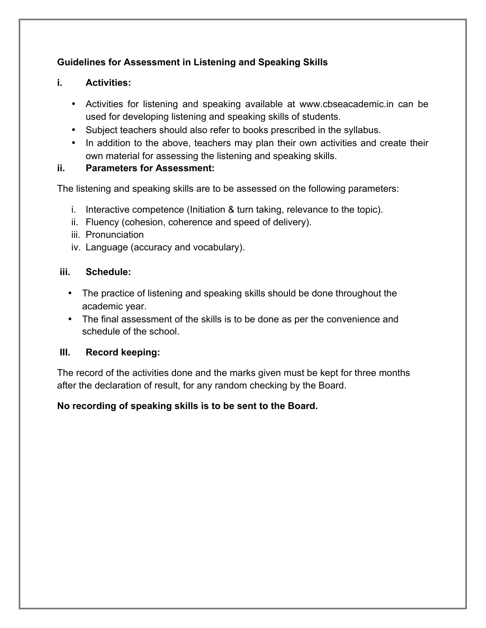## **Guidelines for Assessment in Listening and Speaking Skills**

## **i. Activities:**

- Activities for listening and speaking available at www.cbseacademic.in can be used for developing listening and speaking skills of students.
- Subject teachers should also refer to books prescribed in the syllabus.
- In addition to the above, teachers may plan their own activities and create their own material for assessing the listening and speaking skills.

## **ii. Parameters for Assessment:**

The listening and speaking skills are to be assessed on the following parameters:

- i. Interactive competence (Initiation & turn taking, relevance to the topic).
- ii. Fluency (cohesion, coherence and speed of delivery).
- iii. Pronunciation
- iv. Language (accuracy and vocabulary).

## **iii. Schedule:**

- The practice of listening and speaking skills should be done throughout the academic year.
- The final assessment of the skills is to be done as per the convenience and schedule of the school.

## **III. Record keeping:**

The record of the activities done and the marks given must be kept for three months after the declaration of result, for any random checking by the Board.

## **No recording of speaking skills is to be sent to the Board.**